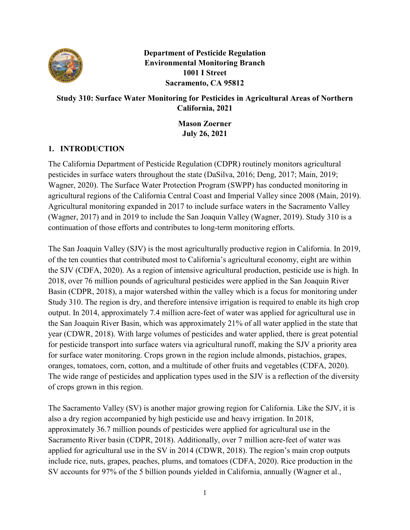

**Department of Pesticide Regulation Environmental Monitoring Branch 1001 I Street Sacramento, CA 95812** 

# **Study 310: Surface Water Monitoring for Pesticides in Agricultural Areas of Northern California, 2021**

**Mason Zoerner July 26, 2021** 

# **1. INTRODUCTION**

The California Department of Pesticide Regulation (CDPR) routinely monitors agricultural pesticides in surface waters throughout the state (DaSilva, 2016; Deng, 2017; Main, 2019; Wagner, 2020). The Surface Water Protection Program (SWPP) has conducted monitoring in agricultural regions of the California Central Coast and Imperial Valley since 2008 (Main, 2019). Agricultural monitoring expanded in 2017 to include surface waters in the Sacramento Valley (Wagner, 2017) and in 2019 to include the San Joaquin Valley (Wagner, 2019). Study 310 is a continuation of those efforts and contributes to long-term monitoring efforts.

The San Joaquin Valley (SJV) is the most agriculturally productive region in California. In 2019, of the ten counties that contributed most to California's agricultural economy, eight are within the SJV (CDFA, 2020). As a region of intensive agricultural production, pesticide use is high. In 2018, over 76 million pounds of agricultural pesticides were applied in the San Joaquin River Basin (CDPR, 2018), a major watershed within the valley which is a focus for monitoring under Study 310. The region is dry, and therefore intensive irrigation is required to enable its high crop output. In 2014, approximately 7.4 million acre-feet of water was applied for agricultural use in the San Joaquin River Basin, which was approximately 21% of all water applied in the state that year (CDWR, 2018). With large volumes of pesticides and water applied, there is great potential for pesticide transport into surface waters via agricultural runoff, making the SJV a priority area for surface water monitoring. Crops grown in the region include almonds, pistachios, grapes, oranges, tomatoes, corn, cotton, and a multitude of other fruits and vegetables (CDFA, 2020). The wide range of pesticides and application types used in the SJV is a reflection of the diversity of crops grown in this region.

The Sacramento Valley (SV) is another major growing region for California. Like the SJV, it is also a dry region accompanied by high pesticide use and heavy irrigation. In 2018, approximately 36.7 million pounds of pesticides were applied for agricultural use in the Sacramento River basin (CDPR, 2018). Additionally, over 7 million acre-feet of water was applied for agricultural use in the SV in 2014 (CDWR, 2018). The region's main crop outputs include rice, nuts, grapes, peaches, plums, and tomatoes (CDFA, 2020). Rice production in the SV accounts for 97% of the 5 billion pounds yielded in California, annually (Wagner et al.,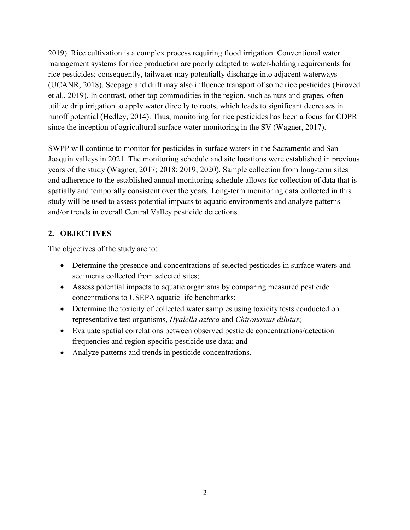2019). Rice cultivation is a complex process requiring flood irrigation. Conventional water management systems for rice production are poorly adapted to water-holding requirements for rice pesticides; consequently, tailwater may potentially discharge into adjacent waterways (UCANR, 2018). Seepage and drift may also influence transport of some rice pesticides (Firoved et al., 2019). In contrast, other top commodities in the region, such as nuts and grapes, often utilize drip irrigation to apply water directly to roots, which leads to significant decreases in runoff potential (Hedley, 2014). Thus, monitoring for rice pesticides has been a focus for CDPR since the inception of agricultural surface water monitoring in the SV (Wagner, 2017).

SWPP will continue to monitor for pesticides in surface waters in the Sacramento and San Joaquin valleys in 2021. The monitoring schedule and site locations were established in previous years of the study (Wagner, 2017; 2018; 2019; 2020). Sample collection from long-term sites and adherence to the established annual monitoring schedule allows for collection of data that is spatially and temporally consistent over the years. Long-term monitoring data collected in this study will be used to assess potential impacts to aquatic environments and analyze patterns and/or trends in overall Central Valley pesticide detections.

# **2. OBJECTIVES**

The objectives of the study are to:

- Determine the presence and concentrations of selected pesticides in surface waters and sediments collected from selected sites;
- Assess potential impacts to aquatic organisms by comparing measured pesticide concentrations to USEPA aquatic life benchmarks;
- Determine the toxicity of collected water samples using toxicity tests conducted on representative test organisms, *Hyalella azteca* and *Chironomus dilutus*;
- Evaluate spatial correlations between observed pesticide concentrations/detection frequencies and region-specific pesticide use data; and
- Analyze patterns and trends in pesticide concentrations.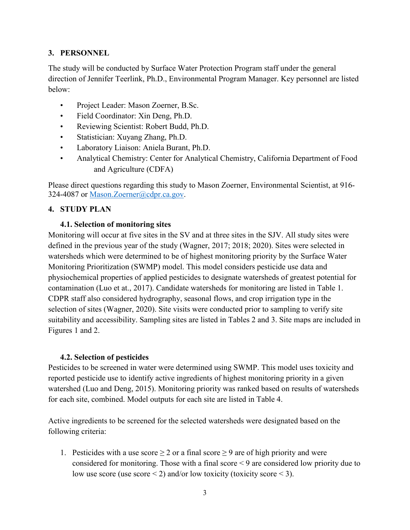### **3. PERSONNEL**

The study will be conducted by Surface Water Protection Program staff under the general direction of Jennifer Teerlink, Ph.D., Environmental Program Manager. Key personnel are listed below:

- Project Leader: Mason Zoerner, B.Sc.
- Field Coordinator: Xin Deng, Ph.D.
- Reviewing Scientist: Robert Budd, Ph.D.
- Statistician: Xuyang Zhang, Ph.D.
- Laboratory Liaison: Aniela Burant, Ph.D.
- Analytical Chemistry: Center for Analytical Chemistry, California Department of Food and Agriculture (CDFA)

Please direct questions regarding this study to Mason Zoerner, Environmental Scientist, at 916- 324-4087 or [Mason.Zoerner@cdpr.ca.gov.](mailto:Mason.Zoerner@cdpr.ca.gov)

#### **4. STUDY PLAN**

#### **4.1. Selection of monitoring sites**

Monitoring will occur at five sites in the SV and at three sites in the SJV. All study sites were defined in the previous year of the study (Wagner, 2017; 2018; 2020). Sites were selected in watersheds which were determined to be of highest monitoring priority by the Surface Water Monitoring Prioritization (SWMP) model. This model considers pesticide use data and physiochemical properties of applied pesticides to designate watersheds of greatest potential for contamination (Luo et at., 2017). Candidate watersheds for monitoring are listed in Table 1. CDPR staff also considered hydrography, seasonal flows, and crop irrigation type in the selection of sites (Wagner, 2020). Site visits were conducted prior to sampling to verify site suitability and accessibility. Sampling sites are listed in Tables 2 and 3. Site maps are included in Figures 1 and 2.

#### **4.2. Selection of pesticides**

Pesticides to be screened in water were determined using SWMP. This model uses toxicity and reported pesticide use to identify active ingredients of highest monitoring priority in a given watershed (Luo and Deng, 2015). Monitoring priority was ranked based on results of watersheds for each site, combined. Model outputs for each site are listed in Table 4.

Active ingredients to be screened for the selected watersheds were designated based on the following criteria:

1. Pesticides with a use score  $\geq 2$  or a final score  $\geq 9$  are of high priority and were considered for monitoring. Those with a final score < 9 are considered low priority due to low use score (use score  $\leq$  2) and/or low toxicity (toxicity score  $\leq$  3).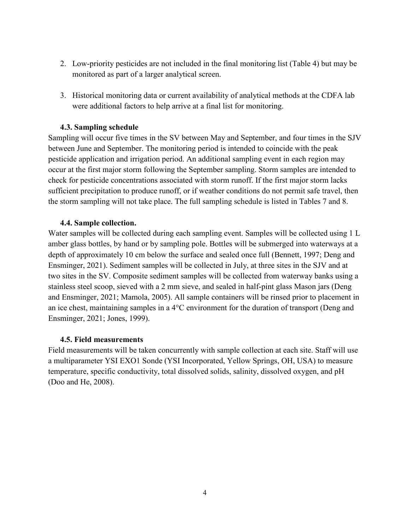- 2. Low-priority pesticides are not included in the final monitoring list (Table 4) but may be monitored as part of a larger analytical screen.
- 3. Historical monitoring data or current availability of analytical methods at the CDFA lab were additional factors to help arrive at a final list for monitoring.

#### **4.3. Sampling schedule**

Sampling will occur five times in the SV between May and September, and four times in the SJV between June and September. The monitoring period is intended to coincide with the peak pesticide application and irrigation period. An additional sampling event in each region may occur at the first major storm following the September sampling. Storm samples are intended to check for pesticide concentrations associated with storm runoff. If the first major storm lacks sufficient precipitation to produce runoff, or if weather conditions do not permit safe travel, then the storm sampling will not take place. The full sampling schedule is listed in Tables 7 and 8.

#### **4.4. Sample collection.**

Water samples will be collected during each sampling event. Samples will be collected using 1 L amber glass bottles, by hand or by sampling pole. Bottles will be submerged into waterways at a depth of approximately 10 cm below the surface and sealed once full (Bennett, 1997; Deng and Ensminger, 2021). Sediment samples will be collected in July, at three sites in the SJV and at two sites in the SV. Composite sediment samples will be collected from waterway banks using a stainless steel scoop, sieved with a 2 mm sieve, and sealed in half-pint glass Mason jars (Deng and Ensminger, 2021; Mamola, 2005). All sample containers will be rinsed prior to placement in an ice chest, maintaining samples in a 4°C environment for the duration of transport (Deng and Ensminger, 2021; Jones, 1999).

#### **4.5. Field measurements**

Field measurements will be taken concurrently with sample collection at each site. Staff will use a multiparameter YSI EXO1 Sonde (YSI Incorporated, Yellow Springs, OH, USA) to measure temperature, specific conductivity, total dissolved solids, salinity, dissolved oxygen, and pH (Doo and He, 2008).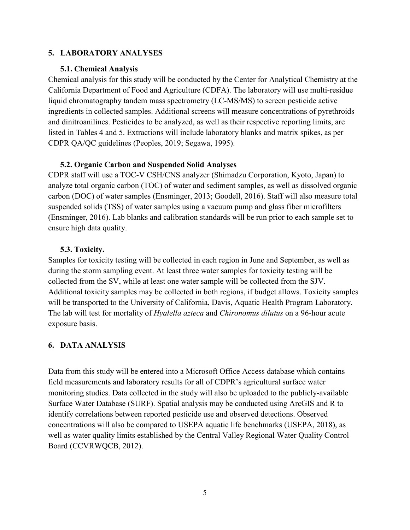### **5. LABORATORY ANALYSES**

#### **5.1. Chemical Analysis**

Chemical analysis for this study will be conducted by the Center for Analytical Chemistry at the California Department of Food and Agriculture (CDFA). The laboratory will use multi-residue liquid chromatography tandem mass spectrometry (LC-MS/MS) to screen pesticide active ingredients in collected samples. Additional screens will measure concentrations of pyrethroids and dinitroanilines. Pesticides to be analyzed, as well as their respective reporting limits, are listed in Tables 4 and 5. Extractions will include laboratory blanks and matrix spikes, as per CDPR QA/QC guidelines (Peoples, 2019; Segawa, 1995).

### **5.2. Organic Carbon and Suspended Solid Analyses**

CDPR staff will use a TOC-V CSH/CNS analyzer (Shimadzu Corporation, Kyoto, Japan) to analyze total organic carbon (TOC) of water and sediment samples, as well as dissolved organic carbon (DOC) of water samples (Ensminger, 2013; Goodell, 2016). Staff will also measure total suspended solids (TSS) of water samples using a vacuum pump and glass fiber microfilters (Ensminger, 2016). Lab blanks and calibration standards will be run prior to each sample set to ensure high data quality.

### **5.3. Toxicity.**

Samples for toxicity testing will be collected in each region in June and September, as well as during the storm sampling event. At least three water samples for toxicity testing will be collected from the SV, while at least one water sample will be collected from the SJV. Additional toxicity samples may be collected in both regions, if budget allows. Toxicity samples will be transported to the University of California, Davis, Aquatic Health Program Laboratory. The lab will test for mortality of *Hyalella azteca* and *Chironomus dilutus* on a 96-hour acute exposure basis.

### **6. DATA ANALYSIS**

Data from this study will be entered into a Microsoft Office Access database which contains field measurements and laboratory results for all of CDPR's agricultural surface water monitoring studies. Data collected in the study will also be uploaded to the publicly-available Surface Water Database (SURF). Spatial analysis may be conducted using ArcGIS and R to identify correlations between reported pesticide use and observed detections. Observed concentrations will also be compared to USEPA aquatic life benchmarks (USEPA, 2018), as well as water quality limits established by the Central Valley Regional Water Quality Control Board (CCVRWQCB, 2012).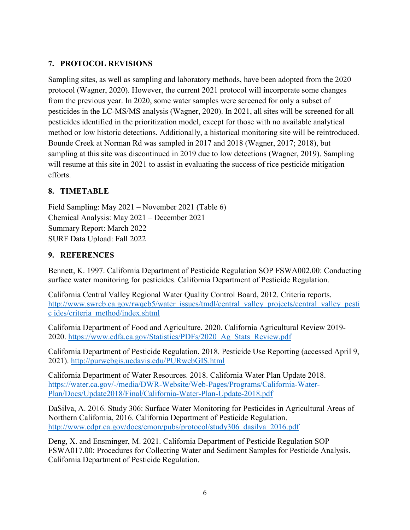## **7. PROTOCOL REVISIONS**

Sampling sites, as well as sampling and laboratory methods, have been adopted from the 2020 protocol (Wagner, 2020). However, the current 2021 protocol will incorporate some changes from the previous year. In 2020, some water samples were screened for only a subset of pesticides in the LC-MS/MS analysis (Wagner, 2020). In 2021, all sites will be screened for all pesticides identified in the prioritization model, except for those with no available analytical method or low historic detections. Additionally, a historical monitoring site will be reintroduced. Bounde Creek at Norman Rd was sampled in 2017 and 2018 (Wagner, 2017; 2018), but sampling at this site was discontinued in 2019 due to low detections (Wagner, 2019). Sampling will resume at this site in 2021 to assist in evaluating the success of rice pesticide mitigation efforts.

## **8. TIMETABLE**

Field Sampling: May 2021 – November 2021 (Table 6) Chemical Analysis: May 2021 – December 2021 Summary Report: March 2022 SURF Data Upload: Fall 2022

### **9. REFERENCES**

Bennett, K. 1997. California Department of Pesticide Regulation SOP FSWA002.00: Conducting surface water monitoring for pesticides. California Department of Pesticide Regulation.

California Central Valley Regional Water Quality Control Board, 2012. Criteria reports. [http://www.swrcb.ca.gov/rwqcb5/water\\_issues/tmdl/central\\_valley\\_projects/central\\_valley\\_pesti](http://www.swrcb.ca.gov/rwqcb5/water_issues/tmdl/central_valley_projects/central_valley_pestic%20ides/criteria_method/index.shtml) [c ides/criteria\\_method/index.shtml](http://www.swrcb.ca.gov/rwqcb5/water_issues/tmdl/central_valley_projects/central_valley_pestic%20ides/criteria_method/index.shtml)

California Department of Food and Agriculture. 2020. California Agricultural Review 2019- 2020. [https://www.cdfa.ca.gov/Statistics/PDFs/2020\\_Ag\\_Stats\\_Review.pdf](https://www.cdfa.ca.gov/Statistics/PDFs/2020_Ag_Stats_Review.pdf)

California Department of Pesticide Regulation. 2018. Pesticide Use Reporting (accessed April 9, 2021).<http://purwebgis.ucdavis.edu/PURwebGIS.html>

California Department of Water Resources. 2018. California Water Plan Update 2018. [https://water.ca.gov/-/media/DWR-Website/Web-Pages/Programs/California-Water-](https://water.ca.gov/-/media/DWR-Website/Web-Pages/Programs/California-Water-Plan/Docs/Update2018/Final/California-Water-Plan-Update-2018.pdf)[Plan/Docs/Update2018/Final/California-Water-Plan-Update-2018.pdf](https://water.ca.gov/-/media/DWR-Website/Web-Pages/Programs/California-Water-Plan/Docs/Update2018/Final/California-Water-Plan-Update-2018.pdf)

DaSilva, A. 2016. Study 306: Surface Water Monitoring for Pesticides in Agricultural Areas of Northern California, 2016. California Department of Pesticide Regulation. [http://www.cdpr.ca.gov/docs/emon/pubs/protocol/study306\\_dasilva\\_2016.pdf](http://www.cdpr.ca.gov/docs/emon/pubs/protocol/study306_dasilva_2016.pdf)

Deng, X. and Ensminger, M. 2021. California Department of Pesticide Regulation SOP FSWA017.00: Procedures for Collecting Water and Sediment Samples for Pesticide Analysis. California Department of Pesticide Regulation.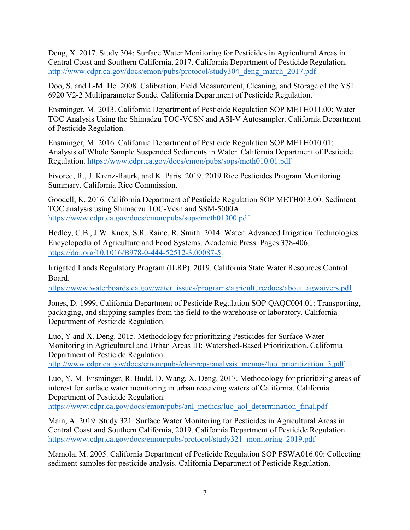Deng, X. 2017. Study 304: Surface Water Monitoring for Pesticides in Agricultural Areas in Central Coast and Southern California, 2017. California Department of Pesticide Regulation. [http://www.cdpr.ca.gov/docs/emon/pubs/protocol/study304\\_deng\\_march\\_2017.pdf](http://www.cdpr.ca.gov/docs/emon/pubs/protocol/study304_deng_march_2017.pdf)

Doo, S. and L-M. He. 2008. Calibration, Field Measurement, Cleaning, and Storage of the YSI 6920 V2-2 Multiparameter Sonde. California Department of Pesticide Regulation.

Ensminger, M. 2013. California Department of Pesticide Regulation SOP METH011.00: Water TOC Analysis Using the Shimadzu TOC-VCSN and ASI-V Autosampler. California Department of Pesticide Regulation.

Ensminger, M. 2016. California Department of Pesticide Regulation SOP METH010.01: Analysis of Whole Sample Suspended Sediments in Water. California Department of Pesticide Regulation.<https://www.cdpr.ca.gov/docs/emon/pubs/sops/meth010.01.pdf>

Fivored, R., J. Krenz-Raurk, and K. Paris. 2019. 2019 Rice Pesticides Program Monitoring Summary. California Rice Commission.

Goodell, K. 2016. California Department of Pesticide Regulation SOP METH013.00: Sediment TOC analysis using Shimadzu TOC-Vcsn and SSM-5000A. <https://www.cdpr.ca.gov/docs/emon/pubs/sops/meth01300.pdf>

Hedley, C.B., J.W. Knox, S.R. Raine, R. Smith. 2014. Water: Advanced Irrigation Technologies. Encyclopedia of Agriculture and Food Systems. Academic Press. Pages 378-406. [https://doi.org/10.1016/B978-0-444-52512-3.00087-5.](https://doi.org/10.1016/B978-0-444-52512-3.00087-5)

Irrigated Lands Regulatory Program (ILRP). 2019. California State Water Resources Control Board.

[https://www.waterboards.ca.gov/water\\_issues/programs/agriculture/docs/about\\_agwaivers.pdf](https://www.waterboards.ca.gov/water_issues/programs/agriculture/docs/about_agwaivers.pdf)

Jones, D. 1999. California Department of Pesticide Regulation SOP QAQC004.01: Transporting, packaging, and shipping samples from the field to the warehouse or laboratory. California Department of Pesticide Regulation.

Luo, Y and X. Deng. 2015. Methodology for prioritizing Pesticides for Surface Water Monitoring in Agricultural and Urban Areas III: Watershed-Based Prioritization. California Department of Pesticide Regulation.

[http://www.cdpr.ca.gov/docs/emon/pubs/ehapreps/analysis\\_memos/luo\\_prioritization\\_3.pdf](http://www.cdpr.ca.gov/docs/emon/pubs/ehapreps/analysis_memos/luo_prioritization_3.pdf)

Luo, Y, M. Ensminger, R. Budd, D. Wang, X. Deng. 2017. Methodology for prioritizing areas of interest for surface water monitoring in urban receiving waters of California. California Department of Pesticide Regulation.

[https://www.cdpr.ca.gov/docs/emon/pubs/anl\\_methds/luo\\_aol\\_determination\\_final.pdf](https://www.cdpr.ca.gov/docs/emon/pubs/anl_methds/luo_aol_determination_final.pdf)

Main, A. 2019. Study 321. Surface Water Monitoring for Pesticides in Agricultural Areas in Central Coast and Southern California, 2019. California Department of Pesticide Regulation. [https://www.cdpr.ca.gov/docs/emon/pubs/protocol/study321\\_monitoring\\_2019.pdf](https://www.cdpr.ca.gov/docs/emon/pubs/protocol/study321_monitoring_2019.pdf)

Mamola, M. 2005. California Department of Pesticide Regulation SOP FSWA016.00: Collecting sediment samples for pesticide analysis. California Department of Pesticide Regulation.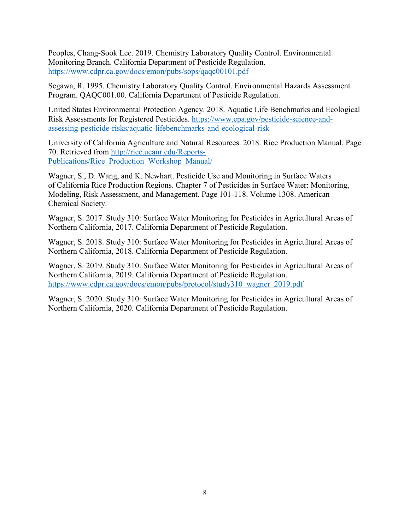Peoples, Chang-Sook Lee. 2019. Chemistry Laboratory Quality Control. Environmental Monitoring Branch. California Department of Pesticide Regulation. <https://www.cdpr.ca.gov/docs/emon/pubs/sops/qaqc00101.pdf>

Segawa, R. 1995. Chemistry Laboratory Quality Control. Environmental Hazards Assessment Program. QAQC001.00. California Department of Pesticide Regulation.

United States Environmental Protection Agency. 2018. Aquatic Life Benchmarks and Ecological Risk Assessments for Registered Pesticides. [https://www.epa.gov/pesticide-science-and](https://www.epa.gov/pesticide-science-and-assessing-pesticide-risks/aquatic-lifebenchmarks-and-ecological-risk)[assessing-pesticide-risks/aquatic-lifebenchmarks-and-ecological-risk](https://www.epa.gov/pesticide-science-and-assessing-pesticide-risks/aquatic-lifebenchmarks-and-ecological-risk)

University of California Agriculture and Natural Resources. 2018. Rice Production Manual. Page 70. Retrieved from [http://rice.ucanr.edu/Reports-](http://rice.ucanr.edu/Reports-Publications/Rice_Production_Workshop_Manual/)[Publications/Rice\\_Production\\_Workshop\\_Manual/](http://rice.ucanr.edu/Reports-Publications/Rice_Production_Workshop_Manual/)

Wagner, S., D. Wang, and K. Newhart. Pesticide Use and Monitoring in Surface Waters of California Rice Production Regions. Chapter 7 of Pesticides in Surface Water: Monitoring, Modeling, Risk Assessment, and Management. Page 101-118. Volume 1308. American Chemical Society.

Wagner, S. 2017. Study 310: Surface Water Monitoring for Pesticides in Agricultural Areas of Northern California, 2017. California Department of Pesticide Regulation.

Wagner, S. 2018. Study 310: Surface Water Monitoring for Pesticides in Agricultural Areas of Northern California, 2018. California Department of Pesticide Regulation.

Wagner, S. 2019. Study 310: Surface Water Monitoring for Pesticides in Agricultural Areas of Northern California, 2019. California Department of Pesticide Regulation. [https://www.cdpr.ca.gov/docs/emon/pubs/protocol/study310\\_wagner\\_2019.pdf](https://www.cdpr.ca.gov/docs/emon/pubs/protocol/study310_wagner_2019.pdf)

Wagner, S. 2020. Study 310: Surface Water Monitoring for Pesticides in Agricultural Areas of Northern California, 2020. California Department of Pesticide Regulation.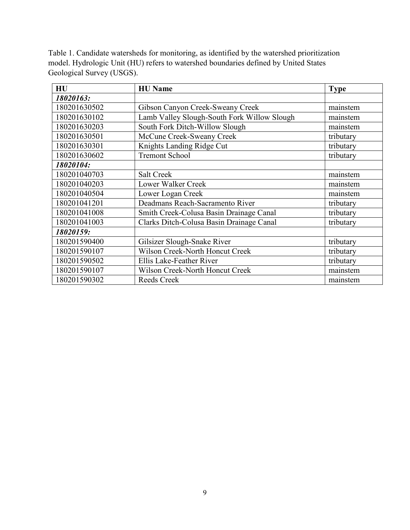Table 1. Candidate watersheds for monitoring, as identified by the watershed prioritization model. Hydrologic Unit (HU) refers to watershed boundaries defined by United States Geological Survey (USGS).

| HU           | <b>HU</b> Name                              | <b>Type</b> |
|--------------|---------------------------------------------|-------------|
| 18020163:    |                                             |             |
| 180201630502 | Gibson Canyon Creek-Sweany Creek            | mainstem    |
| 180201630102 | Lamb Valley Slough-South Fork Willow Slough | mainstem    |
| 180201630203 | South Fork Ditch-Willow Slough              | mainstem    |
| 180201630501 | McCune Creek-Sweany Creek                   | tributary   |
| 180201630301 | Knights Landing Ridge Cut                   | tributary   |
| 180201630602 | <b>Tremont School</b>                       | tributary   |
| 18020104:    |                                             |             |
| 180201040703 | Salt Creek                                  | mainstem    |
| 180201040203 | Lower Walker Creek                          | mainstem    |
| 180201040504 | Lower Logan Creek                           | mainstem    |
| 180201041201 | Deadmans Reach-Sacramento River             | tributary   |
| 180201041008 | Smith Creek-Colusa Basin Drainage Canal     | tributary   |
| 180201041003 | Clarks Ditch-Colusa Basin Drainage Canal    | tributary   |
| 18020159:    |                                             |             |
| 180201590400 | Gilsizer Slough-Snake River                 | tributary   |
| 180201590107 | Wilson Creek-North Honcut Creek             | tributary   |
| 180201590502 | Ellis Lake-Feather River                    | tributary   |
| 180201590107 | Wilson Creek-North Honcut Creek             | mainstem    |
| 180201590302 | Reeds Creek                                 | mainstem    |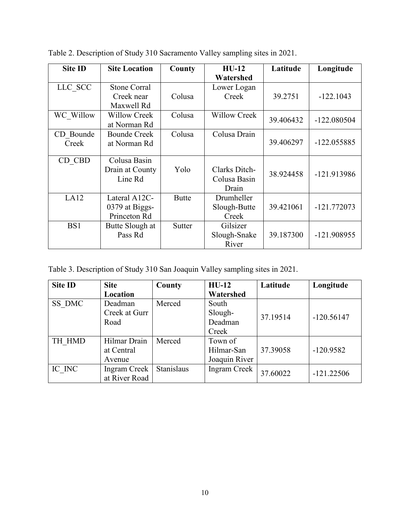| <b>Site ID</b> | <b>Site Location</b> | County       | $HU-12$<br>Watershed | Latitude  | Longitude     |
|----------------|----------------------|--------------|----------------------|-----------|---------------|
| LLC SCC        | <b>Stone Corral</b>  |              | Lower Logan          |           |               |
|                | Creek near           | Colusa       | Creek                | 39.2751   | $-122.1043$   |
|                | Maxwell Rd           |              |                      |           |               |
| WC Willow      | Willow Creek         | Colusa       | <b>Willow Creek</b>  | 39.406432 | $-122.080504$ |
|                | at Norman Rd         |              |                      |           |               |
| CD Bounde      | <b>Bounde Creek</b>  | Colusa       | Colusa Drain         |           |               |
| Creek          | at Norman Rd         |              |                      | 39.406297 | $-122.055885$ |
|                |                      |              |                      |           |               |
| CD CBD         | Colusa Basin         |              |                      |           |               |
|                | Drain at County      | Yolo         | Clarks Ditch-        | 38.924458 | -121.913986   |
|                | Line Rd              |              | Colusa Basin         |           |               |
|                |                      |              | Drain                |           |               |
| LA12           | Lateral A12C-        | <b>Butte</b> | Drumheller           |           |               |
|                | 0379 at Biggs-       |              | Slough-Butte         | 39.421061 | $-121.772073$ |
|                | Princeton Rd         |              | Creek                |           |               |
| BS1            | Butte Slough at      | Sutter       | Gilsizer             |           |               |
|                | Pass Rd              |              | Slough-Snake         | 39.187300 | -121.908955   |
|                |                      |              | River                |           |               |

Table 2. Description of Study 310 Sacramento Valley sampling sites in 2021.

Table 3. Description of Study 310 San Joaquin Valley sampling sites in 2021.

| <b>Site ID</b> | <b>Site</b>         | County     | $HU-12$             | Latitude | Longitude    |
|----------------|---------------------|------------|---------------------|----------|--------------|
|                | Location            |            | Watershed           |          |              |
| SS DMC         | Deadman             | Merced     | South               |          |              |
|                | Creek at Gurr       |            | Slough-             | 37.19514 | $-120.56147$ |
|                | Road                |            | Deadman             |          |              |
|                |                     |            | Creek               |          |              |
| TH HMD         | Hilmar Drain        | Merced     | Town of             |          |              |
|                | at Central          |            | Hilmar-San          | 37.39058 | $-120.9582$  |
|                | Avenue              |            | Joaquin River       |          |              |
| IC INC         | <b>Ingram Creek</b> | Stanislaus | <b>Ingram Creek</b> | 37.60022 | $-121.22506$ |
|                | at River Road       |            |                     |          |              |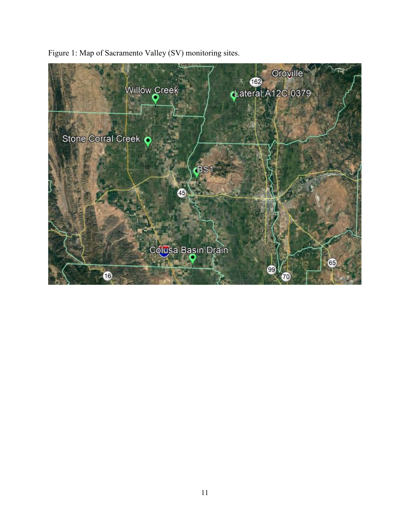

Figure 1: Map of Sacramento Valley (SV) monitoring sites.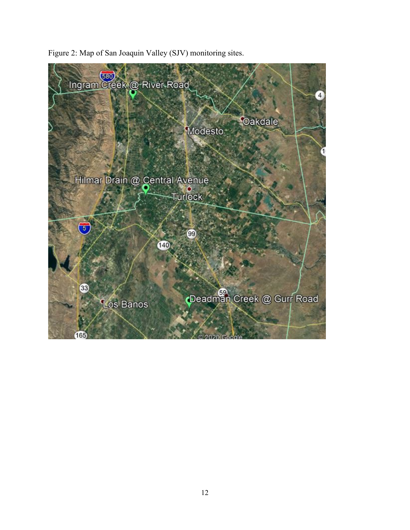

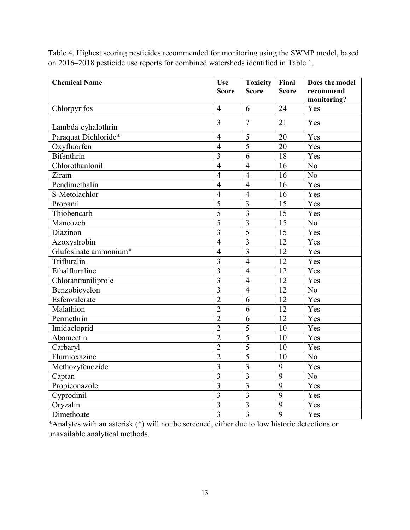Table 4. Highest scoring pesticides recommended for monitoring using the SWMP model, based on 2016–2018 pesticide use reports for combined watersheds identified in Table 1.

| <b>Chemical Name</b>  | <b>Use</b>     | <b>Toxicity</b> | Final           | Does the model  |
|-----------------------|----------------|-----------------|-----------------|-----------------|
|                       | <b>Score</b>   | <b>Score</b>    | <b>Score</b>    | recommend       |
|                       |                |                 |                 | monitoring?     |
| Chlorpyrifos          | $\overline{4}$ | 6               | 24              | Yes             |
| Lambda-cyhalothrin    | 3              | $\overline{7}$  | 21              | Yes             |
| Paraquat Dichloride*  | $\overline{4}$ | $\overline{5}$  | 20              | Yes             |
| Oxyfluorfen           | $\overline{4}$ | $\overline{5}$  | 20              | Yes             |
| <b>Bifenthrin</b>     | $\overline{3}$ | 6               | 18              | Yes             |
| Chlorothanlonil       | $\overline{4}$ | $\overline{4}$  | 16              | N <sub>o</sub>  |
| Ziram                 | $\overline{4}$ | $\overline{4}$  | 16              | N <sub>o</sub>  |
| Pendimethalin         | $\overline{4}$ | $\overline{4}$  | 16              | Yes             |
| S-Metolachlor         | $\overline{4}$ | $\overline{4}$  | 16              | Yes             |
| Propanil              | $\overline{5}$ | $\overline{3}$  | 15              | Yes             |
| Thiobencarb           | $\overline{5}$ | $\overline{3}$  | 15              | Yes             |
| Mancozeb              | $\overline{5}$ | $\overline{3}$  | 15              | N <sub>o</sub>  |
| Diazinon              | $\overline{3}$ | $\overline{5}$  | $\overline{15}$ | Yes             |
| Azoxystrobin          | $\overline{4}$ | 3               | 12              | Yes             |
| Glufosinate ammonium* | $\overline{4}$ | $\overline{3}$  | 12              | Yes             |
| Trifluralin           | $\overline{3}$ | $\overline{4}$  | 12              | Yes             |
| Ethalfluraline        | $\overline{3}$ | $\overline{4}$  | 12              | Yes             |
| Chlorantraniliprole   | $\overline{3}$ | $\overline{4}$  | 12              | Yes             |
| Benzobicyclon         | $\overline{3}$ | $\overline{4}$  | 12              | No              |
| Esfenvalerate         | $\overline{2}$ | 6               | 12              | Yes             |
| Malathion             | $\overline{2}$ | 6               | 12              | Yes             |
| Permethrin            | $\overline{2}$ | 6               | 12              | Yes             |
| Imidacloprid          | $\overline{2}$ | $\overline{5}$  | 10              | Yes             |
| Abamectin             | $\overline{2}$ | $\overline{5}$  | 10              | Yes             |
| Carbaryl              | $\overline{2}$ | $\overline{5}$  | 10              | Yes             |
| Flumioxazine          | $\overline{2}$ | $\overline{5}$  | 10              | N <sub>o</sub>  |
| Methozyfenozide       | $\overline{3}$ | $\overline{3}$  | 9               | Yes             |
| Captan                | $\overline{3}$ | $\overline{3}$  | $\overline{9}$  | $\overline{No}$ |
| Propiconazole         | $\overline{3}$ | $\overline{3}$  | 9               | Yes             |
| Cyprodinil            | $\overline{3}$ | $\overline{3}$  | 9               | Yes             |
| Oryzalin              | $\overline{3}$ | $\overline{3}$  | 9               | Yes             |
| Dimethoate            | $\overline{3}$ | $\overline{3}$  | $\overline{9}$  | Yes             |

\*Analytes with an asterisk (\*) will not be screened, either due to low historic detections or unavailable analytical methods.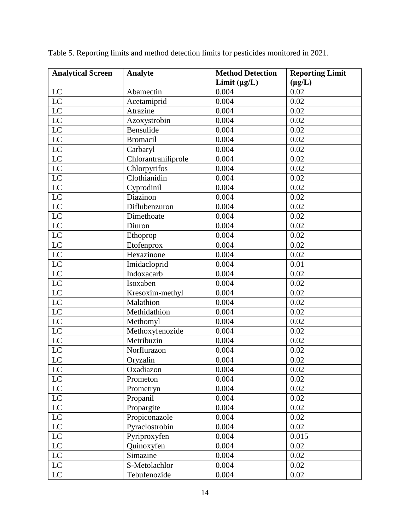| <b>Analytical Screen</b>   | Analyte             | <b>Method Detection</b> | <b>Reporting Limit</b> |  |
|----------------------------|---------------------|-------------------------|------------------------|--|
|                            |                     | Limit $(\mu g/L)$       | $(\mu g/L)$            |  |
| $\mathbf{LC}$              | Abamectin           | 0.004                   | 0.02                   |  |
| LC                         | Acetamiprid         | 0.004                   | 0.02                   |  |
| LC                         | Atrazine            | 0.004                   | 0.02                   |  |
| LC                         | Azoxystrobin        | 0.004                   | 0.02                   |  |
| LC                         | Bensulide           | 0.004                   | 0.02                   |  |
| $\overline{LC}$            | <b>Bromacil</b>     | 0.004                   | 0.02                   |  |
| LC                         | Carbaryl            | 0.004                   | 0.02                   |  |
| $\overline{LC}$            | Chlorantraniliprole | 0.004                   | 0.02                   |  |
| LC                         | Chlorpyrifos        | 0.004                   | 0.02                   |  |
| $\overline{LC}$            | Clothianidin        | 0.004                   | 0.02                   |  |
| $\overline{LC}$            | Cyprodinil          | 0.004                   | 0.02                   |  |
| LC                         | Diazinon            | 0.004                   | 0.02                   |  |
| LC                         | Diflubenzuron       | 0.004                   | 0.02                   |  |
| $\overline{LC}$            | Dimethoate          | 0.004                   | 0.02                   |  |
| $\overline{LC}$            | Diuron              | 0.004                   | 0.02                   |  |
| LC                         | Ethoprop            | 0.004                   | 0.02                   |  |
| LC                         | Etofenprox          | 0.004                   | 0.02                   |  |
| $\overline{LC}$            | Hexazinone          | 0.004                   | 0.02                   |  |
| $\overline{LC}$            | Imidacloprid        | 0.004                   | 0.01                   |  |
| $\mathbf{LC}$              | Indoxacarb          | 0.004                   | 0.02                   |  |
| $\overline{LC}$            | Isoxaben            | 0.004                   | 0.02                   |  |
| LC                         | Kresoxim-methyl     | 0.004                   | 0.02                   |  |
| $\overline{LC}$            | Malathion           | 0.004                   | 0.02                   |  |
| $\overline{LC}$            | Methidathion        | 0.004                   | 0.02                   |  |
| LC                         | Methomyl            | 0.004                   | 0.02                   |  |
| LC                         | Methoxyfenozide     | 0.004                   | 0.02                   |  |
| $\overline{LC}$            | Metribuzin          | 0.004                   | 0.02                   |  |
| $\overline{LC}$            | Norflurazon         | 0.004                   | 0.02                   |  |
| $\overline{LC}$            | Oryzalin            | 0.004                   | 0.02                   |  |
| $\sqrt{LC}$                | Oxadiazon           | 0.004                   | 0.02                   |  |
| LC                         | Prometon            | 0.004                   | 0.02                   |  |
| $\overline{LC}$            | Prometryn           | 0.004                   | 0.02                   |  |
| $\mathbf{LC}$              | Propanil            | 0.004                   | 0.02                   |  |
| LC                         | Propargite          | 0.004                   | 0.02                   |  |
| $\mathop{\rm LC}\nolimits$ | Propiconazole       | 0.004                   | 0.02                   |  |
| $\mathbf{LC}$              | Pyraclostrobin      | 0.004                   | 0.02                   |  |
| $\overline{LC}$            | Pyriproxyfen        | 0.004                   | 0.015                  |  |
| LC                         | Quinoxyfen          | 0.004                   | 0.02                   |  |
| LC                         | Simazine            | 0.004                   | 0.02                   |  |
| $\overline{LC}$            | S-Metolachlor       | 0.004                   | 0.02                   |  |
| $\overline{LC}$            | Tebufenozide        | 0.004                   | 0.02                   |  |

Table 5. Reporting limits and method detection limits for pesticides monitored in 2021.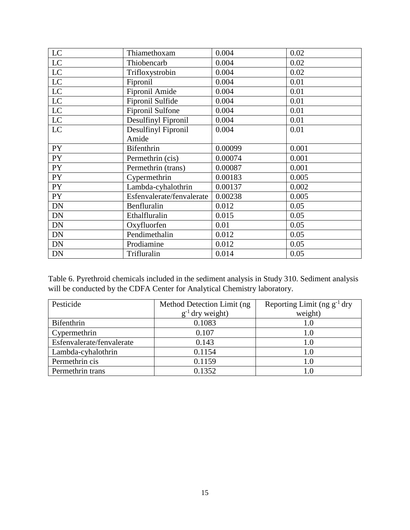| LC            | Thiamethoxam              | 0.004   | 0.02  |
|---------------|---------------------------|---------|-------|
| LC            | Thiobencarb               | 0.004   | 0.02  |
| LC            | Trifloxystrobin           | 0.004   | 0.02  |
| LC            | Fipronil                  | 0.004   | 0.01  |
| LC            | Fipronil Amide            | 0.004   | 0.01  |
| $\mathbf{LC}$ | Fipronil Sulfide          | 0.004   | 0.01  |
| LC            | Fipronil Sulfone          | 0.004   | 0.01  |
| $\mathbf{LC}$ | Desulfinyl Fipronil       | 0.004   | 0.01  |
| LC            | Desulfinyl Fipronil       | 0.004   | 0.01  |
|               | Amide                     |         |       |
| <b>PY</b>     | <b>Bifenthrin</b>         | 0.00099 | 0.001 |
| <b>PY</b>     | Permethrin (cis)          | 0.00074 | 0.001 |
| PY            | Permethrin (trans)        | 0.00087 | 0.001 |
| PY            | Cypermethrin              | 0.00183 | 0.005 |
| <b>PY</b>     | Lambda-cyhalothrin        | 0.00137 | 0.002 |
| PY            | Esfenvalerate/fenvalerate | 0.00238 | 0.005 |
| DN            | Benfluralin               | 0.012   | 0.05  |
| <b>DN</b>     | Ethalfluralin             | 0.015   | 0.05  |
| DN            | Oxyfluorfen               | 0.01    | 0.05  |
| DN            | Pendimethalin             | 0.012   | 0.05  |
| DN            | Prodiamine                | 0.012   | 0.05  |
| <b>DN</b>     | Trifluralin               | 0.014   | 0.05  |

Table 6. Pyrethroid chemicals included in the sediment analysis in Study 310. Sediment analysis will be conducted by the CDFA Center for Analytical Chemistry laboratory.

| Pesticide                 | Method Detection Limit (ng) | Reporting Limit (ng $g^{-1}$ dry |
|---------------------------|-----------------------------|----------------------------------|
|                           | $g^{-1}$ dry weight)        | weight)                          |
| Bifenthrin                | 0.1083                      | 1.0                              |
| Cypermethrin              | 0.107                       | 1.0                              |
| Esfenvalerate/fenvalerate | 0.143                       | 1.0                              |
| Lambda-cyhalothrin        | 0.1154                      | 1.0                              |
| Permethrin cis            | 0.1159                      | 1.0                              |
| Permethrin trans          | 0.1352                      | 1.0                              |